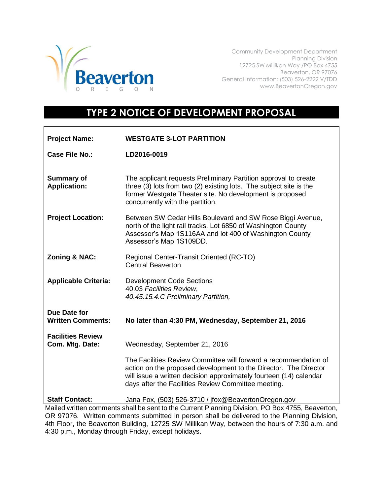

Community Development Department Planning Division 12725 SW Millikan Way /PO Box 4755 Beaverton, OR 97076 General Information: (503) 526-2222 V/TDD www.BeavertonOregon.gov

## **TYPE 2 NOTICE OF DEVELOPMENT PROPOSAL**

| <b>Project Name:</b>                                                                                                                                                                           | <b>WESTGATE 3-LOT PARTITION</b>                                                                                                                                                                                                                                   |
|------------------------------------------------------------------------------------------------------------------------------------------------------------------------------------------------|-------------------------------------------------------------------------------------------------------------------------------------------------------------------------------------------------------------------------------------------------------------------|
| <b>Case File No.:</b>                                                                                                                                                                          | LD2016-0019                                                                                                                                                                                                                                                       |
| <b>Summary of</b><br><b>Application:</b>                                                                                                                                                       | The applicant requests Preliminary Partition approval to create<br>three (3) lots from two (2) existing lots. The subject site is the<br>former Westgate Theater site. No development is proposed<br>concurrently with the partition.                             |
| <b>Project Location:</b>                                                                                                                                                                       | Between SW Cedar Hills Boulevard and SW Rose Biggi Avenue,<br>north of the light rail tracks. Lot 6850 of Washington County<br>Assessor's Map 1S116AA and lot 400 of Washington County<br>Assessor's Map 1S109DD.                                                 |
| <b>Zoning &amp; NAC:</b>                                                                                                                                                                       | Regional Center-Transit Oriented (RC-TO)<br><b>Central Beaverton</b>                                                                                                                                                                                              |
| <b>Applicable Criteria:</b>                                                                                                                                                                    | <b>Development Code Sections</b><br>40.03 Facilities Review,<br>40.45.15.4.C Preliminary Partition,                                                                                                                                                               |
| Due Date for<br><b>Written Comments:</b>                                                                                                                                                       | No later than 4:30 PM, Wednesday, September 21, 2016                                                                                                                                                                                                              |
| <b>Facilities Review</b><br>Com. Mtg. Date:                                                                                                                                                    | Wednesday, September 21, 2016                                                                                                                                                                                                                                     |
|                                                                                                                                                                                                | The Facilities Review Committee will forward a recommendation of<br>action on the proposed development to the Director. The Director<br>will issue a written decision approximately fourteen (14) calendar<br>days after the Facilities Review Committee meeting. |
| <b>Staff Contact:</b>                                                                                                                                                                          | Jana Fox, (503) 526-3710 / jfox@BeavertonOregon.gov                                                                                                                                                                                                               |
| Mailed written comments shall be sent to the Current Planning Division, PO Box 4755, Beaverton,<br>OR 97076. Written comments submitted in person shall be delivered to the Planning Division, |                                                                                                                                                                                                                                                                   |

OR 97076. Written comments submitted in person shall be delivered to the Planning Division, 4th Floor, the Beaverton Building, 12725 SW Millikan Way, between the hours of 7:30 a.m. and 4:30 p.m., Monday through Friday, except holidays.